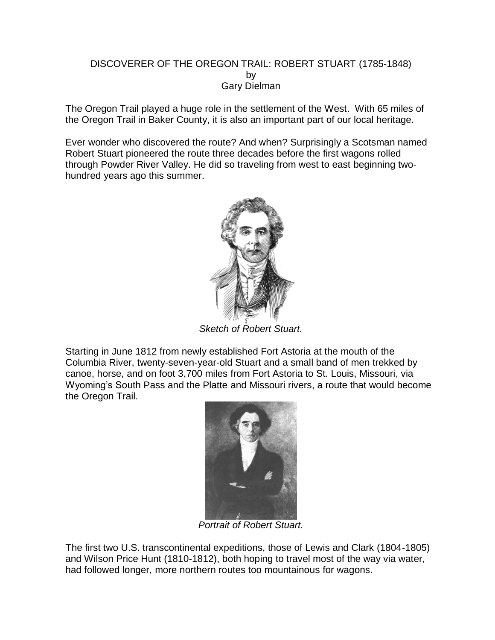## DISCOVERER OF THE OREGON TRAIL: ROBERT STUART (1785-1848) by Gary Dielman

The Oregon Trail played a huge role in the settlement of the West. With 65 miles of the Oregon Trail in Baker County, it is also an important part of our local heritage.

Ever wonder who discovered the route? And when? Surprisingly a Scotsman named Robert Stuart pioneered the route three decades before the first wagons rolled through Powder River Valley. He did so traveling from west to east beginning twohundred years ago this summer.



*Sketch of Robert Stuart.*

Starting in June 1812 from newly established Fort Astoria at the mouth of the Columbia River, twenty-seven-year-old Stuart and a small band of men trekked by canoe, horse, and on foot 3,700 miles from Fort Astoria to St. Louis, Missouri, via Wyoming's South Pass and the Platte and Missouri rivers, a route that would become the Oregon Trail.



*Portrait of Robert Stuart.*

The first two U.S. transcontinental expeditions, those of Lewis and Clark (1804-1805) and Wilson Price Hunt (1810-1812), both hoping to travel most of the way via water, had followed longer, more northern routes too mountainous for wagons.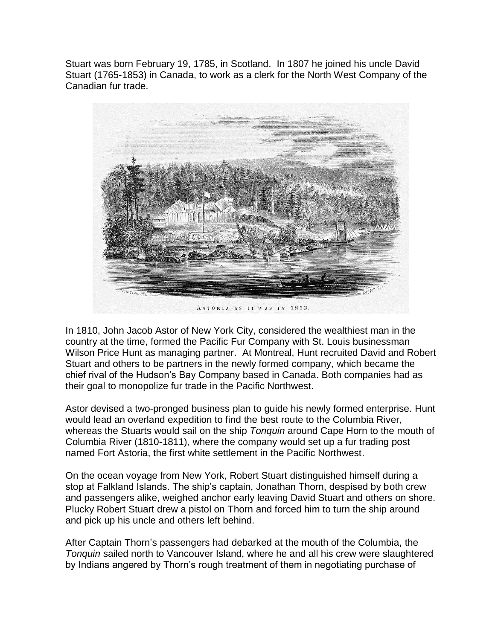Stuart was born February 19, 1785, in Scotland. In 1807 he joined his uncle David Stuart (1765-1853) in Canada, to work as a clerk for the North West Company of the Canadian fur trade.



ASTORIA, AS IT WAS IN 1813.

In 1810, John Jacob Astor of New York City, considered the wealthiest man in the country at the time, formed the Pacific Fur Company with St. Louis businessman Wilson Price Hunt as managing partner. At Montreal, Hunt recruited David and Robert Stuart and others to be partners in the newly formed company, which became the chief rival of the Hudson's Bay Company based in Canada. Both companies had as their goal to monopolize fur trade in the Pacific Northwest.

Astor devised a two-pronged business plan to guide his newly formed enterprise. Hunt would lead an overland expedition to find the best route to the Columbia River, whereas the Stuarts would sail on the ship *Tonquin* around Cape Horn to the mouth of Columbia River (1810-1811), where the company would set up a fur trading post named Fort Astoria, the first white settlement in the Pacific Northwest.

On the ocean voyage from New York, Robert Stuart distinguished himself during a stop at Falkland Islands. The ship's captain, Jonathan Thorn, despised by both crew and passengers alike, weighed anchor early leaving David Stuart and others on shore. Plucky Robert Stuart drew a pistol on Thorn and forced him to turn the ship around and pick up his uncle and others left behind.

After Captain Thorn's passengers had debarked at the mouth of the Columbia, the *Tonquin* sailed north to Vancouver Island, where he and all his crew were slaughtered by Indians angered by Thorn's rough treatment of them in negotiating purchase of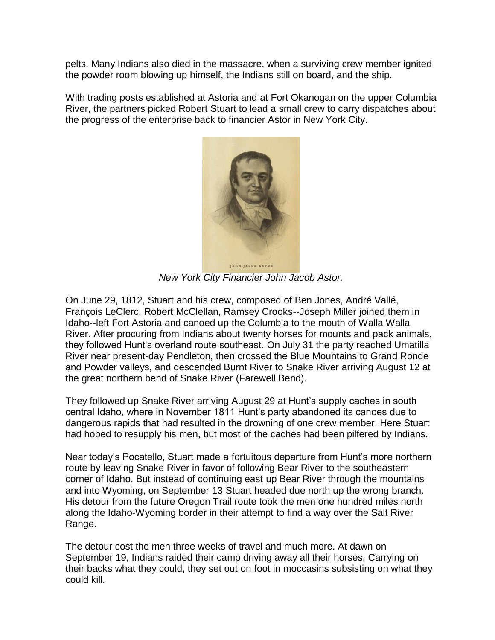pelts. Many Indians also died in the massacre, when a surviving crew member ignited the powder room blowing up himself, the Indians still on board, and the ship.

With trading posts established at Astoria and at Fort Okanogan on the upper Columbia River, the partners picked Robert Stuart to lead a small crew to carry dispatches about the progress of the enterprise back to financier Astor in New York City.



*New York City Financier John Jacob Astor.*

On June 29, 1812, Stuart and his crew, composed of Ben Jones, André Vallé, François LeClerc, Robert McClellan, Ramsey Crooks--Joseph Miller joined them in Idaho--left Fort Astoria and canoed up the Columbia to the mouth of Walla Walla River. After procuring from Indians about twenty horses for mounts and pack animals, they followed Hunt's overland route southeast. On July 31 the party reached Umatilla River near present-day Pendleton, then crossed the Blue Mountains to Grand Ronde and Powder valleys, and descended Burnt River to Snake River arriving August 12 at the great northern bend of Snake River (Farewell Bend).

They followed up Snake River arriving August 29 at Hunt's supply caches in south central Idaho, where in November 1811 Hunt's party abandoned its canoes due to dangerous rapids that had resulted in the drowning of one crew member. Here Stuart had hoped to resupply his men, but most of the caches had been pilfered by Indians.

Near today's Pocatello, Stuart made a fortuitous departure from Hunt's more northern route by leaving Snake River in favor of following Bear River to the southeastern corner of Idaho. But instead of continuing east up Bear River through the mountains and into Wyoming, on September 13 Stuart headed due north up the wrong branch. His detour from the future Oregon Trail route took the men one hundred miles north along the Idaho-Wyoming border in their attempt to find a way over the Salt River Range.

The detour cost the men three weeks of travel and much more. At dawn on September 19, Indians raided their camp driving away all their horses. Carrying on their backs what they could, they set out on foot in moccasins subsisting on what they could kill.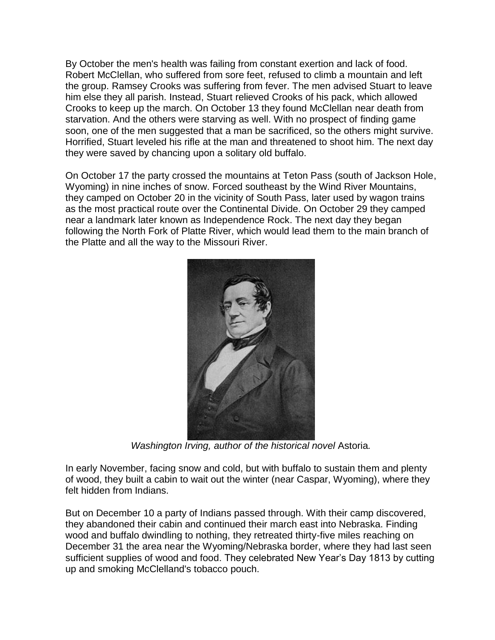By October the men's health was failing from constant exertion and lack of food. Robert McClellan, who suffered from sore feet, refused to climb a mountain and left the group. Ramsey Crooks was suffering from fever. The men advised Stuart to leave him else they all parish. Instead, Stuart relieved Crooks of his pack, which allowed Crooks to keep up the march. On October 13 they found McClellan near death from starvation. And the others were starving as well. With no prospect of finding game soon, one of the men suggested that a man be sacrificed, so the others might survive. Horrified, Stuart leveled his rifle at the man and threatened to shoot him. The next day they were saved by chancing upon a solitary old buffalo.

On October 17 the party crossed the mountains at Teton Pass (south of Jackson Hole, Wyoming) in nine inches of snow. Forced southeast by the Wind River Mountains, they camped on October 20 in the vicinity of South Pass, later used by wagon trains as the most practical route over the Continental Divide. On October 29 they camped near a landmark later known as Independence Rock. The next day they began following the North Fork of Platte River, which would lead them to the main branch of the Platte and all the way to the Missouri River.



*Washington Irving, author of the historical novel* Astoria*.*

In early November, facing snow and cold, but with buffalo to sustain them and plenty of wood, they built a cabin to wait out the winter (near Caspar, Wyoming), where they felt hidden from Indians.

But on December 10 a party of Indians passed through. With their camp discovered, they abandoned their cabin and continued their march east into Nebraska. Finding wood and buffalo dwindling to nothing, they retreated thirty-five miles reaching on December 31 the area near the Wyoming/Nebraska border, where they had last seen sufficient supplies of wood and food. They celebrated New Year's Day 1813 by cutting up and smoking McClelland's tobacco pouch.